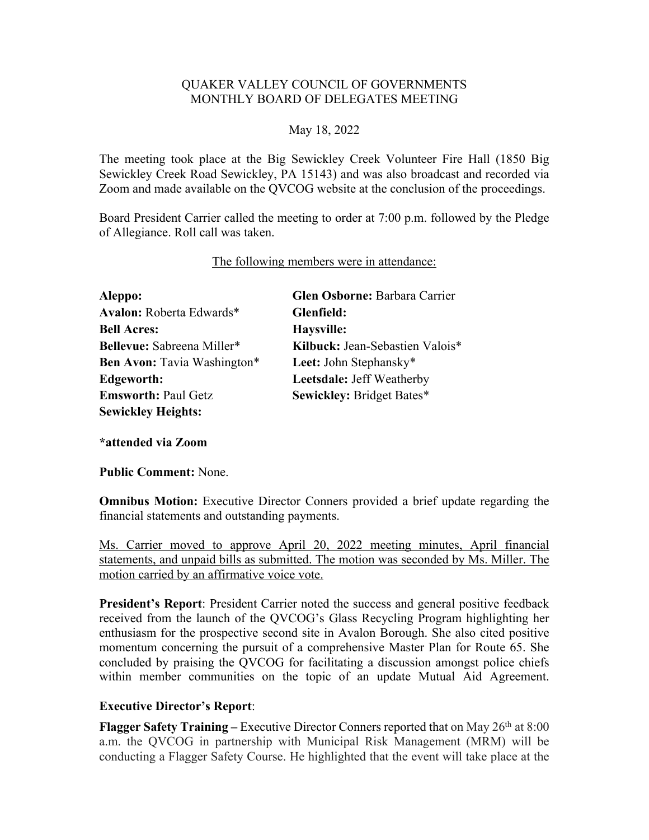## QUAKER VALLEY COUNCIL OF GOVERNMENTS MONTHLY BOARD OF DELEGATES MEETING

### May 18, 2022

The meeting took place at the Big Sewickley Creek Volunteer Fire Hall (1850 Big Sewickley Creek Road Sewickley, PA 15143) and was also broadcast and recorded via Zoom and made available on the QVCOG website at the conclusion of the proceedings.

Board President Carrier called the meeting to order at 7:00 p.m. followed by the Pledge of Allegiance. Roll call was taken.

#### The following members were in attendance:

**Aleppo: Glen Osborne:** Barbara Carrier **Avalon:** Roberta Edwards\* **Glenfield: Bell Acres: Haysville: Bellevue:** Sabreena Miller\* **Kilbuck:** Jean-Sebastien Valois\* **Ben Avon:** Tavia Washington\* **Leet:** John Stephansky\* **Edgeworth: Leetsdale:** Jeff Weatherby **Emsworth:** Paul Getz **Sewickley:** Bridget Bates\* **Sewickley Heights:** 

**\*attended via Zoom**

**Public Comment:** None.

**Omnibus Motion:** Executive Director Conners provided a brief update regarding the financial statements and outstanding payments.

Ms. Carrier moved to approve April 20, 2022 meeting minutes, April financial statements, and unpaid bills as submitted. The motion was seconded by Ms. Miller. The motion carried by an affirmative voice vote.

**President's Report**: President Carrier noted the success and general positive feedback received from the launch of the QVCOG's Glass Recycling Program highlighting her enthusiasm for the prospective second site in Avalon Borough. She also cited positive momentum concerning the pursuit of a comprehensive Master Plan for Route 65. She concluded by praising the QVCOG for facilitating a discussion amongst police chiefs within member communities on the topic of an update Mutual Aid Agreement.

### **Executive Director's Report**:

**Flagger Safety Training –** Executive Director Conners reported that on May 26<sup>th</sup> at 8:00 a.m. the QVCOG in partnership with Municipal Risk Management (MRM) will be conducting a Flagger Safety Course. He highlighted that the event will take place at the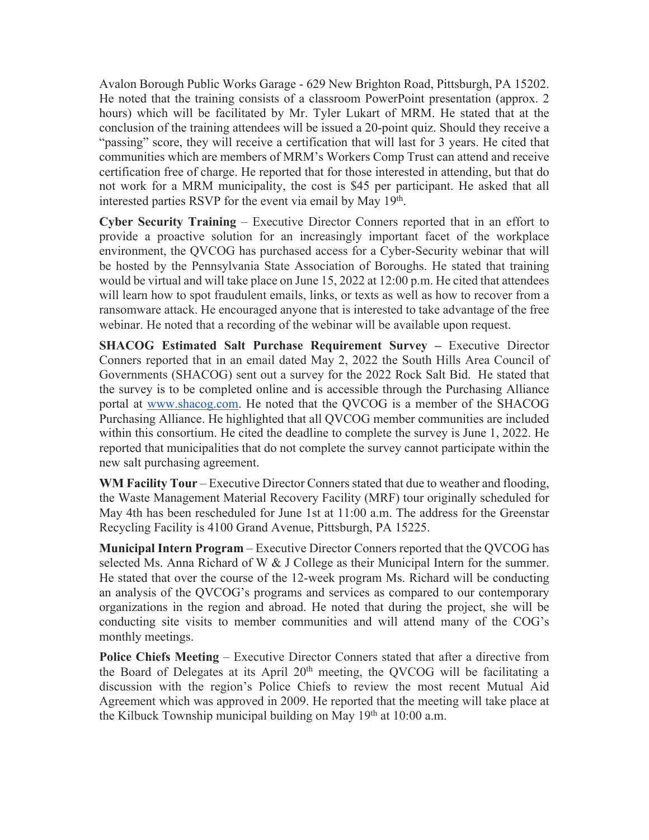Avalon Borough Public Works Garage - 629 New Brighton Road, Pittsburgh, PA 15202. He noted that the training consists of a classroom PowerPoint presentation (approx. 2 hours) which will be facilitated by Mr. Tyler Lukart of MRM. He stated that at the conclusion of the training attendees will be issued a 20-point quiz. Should they receive a "passing" score, they will receive a certification that will last for 3 years. He cited that communities which are members of MRM's Workers Comp Trust can attend and receive certification free of charge. He reported that for those interested in attending, but that do not work for a MRM municipality, the cost is \$45 per participant. He asked that all interested parties RSVP for the event via email by May 19<sup>th</sup>.

**Cyber Security Training** – Executive Director Conners reported that in an effort to provide a proactive solution for an increasingly important facet of the workplace environment, the QVCOG has purchased access for a Cyber-Security webinar that will be hosted by the Pennsylvania State Association of Boroughs. He stated that training would be virtual and will take place on June 15, 2022 at 12:00 p.m. He cited that attendees will learn how to spot fraudulent emails, links, or texts as well as how to recover from a ransomware attack. He encouraged anyone that is interested to take advantage of the free webinar. He noted that a recording of the webinar will be available upon request.

**SHACOG Estimated Salt Purchase Requirement Survey –** Executive Director Conners reported that in an email dated May 2, 2022 the South Hills Area Council of Governments (SHACOG) sent out a survey for the 2022 Rock Salt Bid. He stated that the survey is to be completed online and is accessible through the Purchasing Alliance portal at www.shacog.com. He noted that the QVCOG is a member of the SHACOG Purchasing Alliance. He highlighted that all QVCOG member communities are included within this consortium. He cited the deadline to complete the survey is June 1, 2022. He reported that municipalities that do not complete the survey cannot participate within the new salt purchasing agreement.

**WM Facility Tour** – Executive Director Conners stated that due to weather and flooding, the Waste Management Material Recovery Facility (MRF) tour originally scheduled for May 4th has been rescheduled for June 1st at 11:00 a.m. The address for the Greenstar Recycling Facility is 4100 Grand Avenue, Pittsburgh, PA 15225.

**Municipal Intern Program** – Executive Director Conners reported that the QVCOG has selected Ms. Anna Richard of W  $&$  J College as their Municipal Intern for the summer. He stated that over the course of the 12-week program Ms. Richard will be conducting an analysis of the QVCOG's programs and services as compared to our contemporary organizations in the region and abroad. He noted that during the project, she will be conducting site visits to member communities and will attend many of the COG's monthly meetings.

**Police Chiefs Meeting** – Executive Director Conners stated that after a directive from the Board of Delegates at its April 20<sup>th</sup> meeting, the QVCOG will be facilitating a discussion with the region's Police Chiefs to review the most recent Mutual Aid Agreement which was approved in 2009. He reported that the meeting will take place at the Kilbuck Township municipal building on May  $19<sup>th</sup>$  at 10:00 a.m.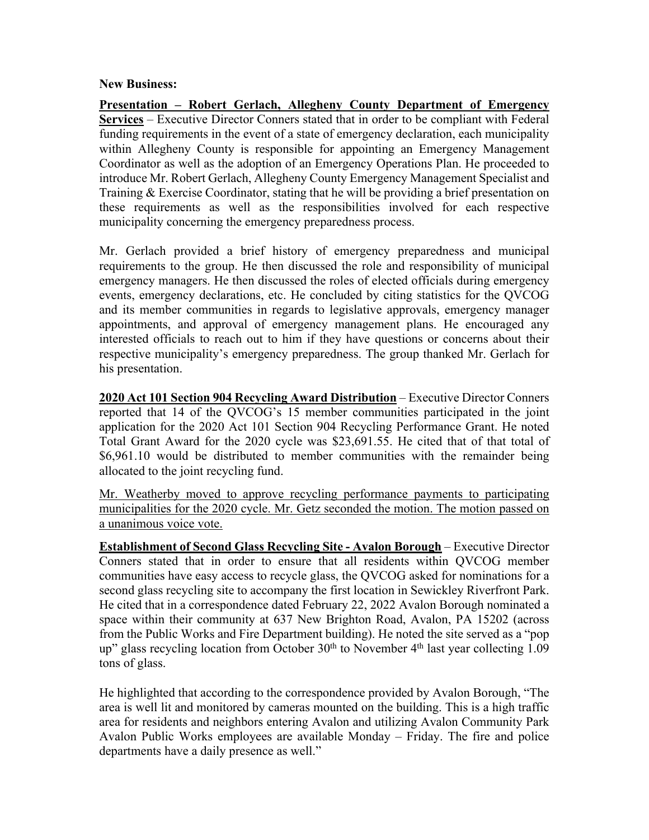#### **New Business:**

**Presentation – Robert Gerlach, Allegheny County Department of Emergency Services** – Executive Director Conners stated that in order to be compliant with Federal funding requirements in the event of a state of emergency declaration, each municipality within Allegheny County is responsible for appointing an Emergency Management Coordinator as well as the adoption of an Emergency Operations Plan. He proceeded to introduce Mr. Robert Gerlach, Allegheny County Emergency Management Specialist and Training & Exercise Coordinator, stating that he will be providing a brief presentation on these requirements as well as the responsibilities involved for each respective municipality concerning the emergency preparedness process.

Mr. Gerlach provided a brief history of emergency preparedness and municipal requirements to the group. He then discussed the role and responsibility of municipal emergency managers. He then discussed the roles of elected officials during emergency events, emergency declarations, etc. He concluded by citing statistics for the QVCOG and its member communities in regards to legislative approvals, emergency manager appointments, and approval of emergency management plans. He encouraged any interested officials to reach out to him if they have questions or concerns about their respective municipality's emergency preparedness. The group thanked Mr. Gerlach for his presentation.

**2020 Act 101 Section 904 Recycling Award Distribution** – Executive Director Conners reported that 14 of the QVCOG's 15 member communities participated in the joint application for the 2020 Act 101 Section 904 Recycling Performance Grant. He noted Total Grant Award for the 2020 cycle was \$23,691.55. He cited that of that total of \$6,961.10 would be distributed to member communities with the remainder being allocated to the joint recycling fund.

Mr. Weatherby moved to approve recycling performance payments to participating municipalities for the 2020 cycle. Mr. Getz seconded the motion. The motion passed on a unanimous voice vote.

**Establishment of Second Glass Recycling Site - Avalon Borough** – Executive Director Conners stated that in order to ensure that all residents within QVCOG member communities have easy access to recycle glass, the QVCOG asked for nominations for a second glass recycling site to accompany the first location in Sewickley Riverfront Park. He cited that in a correspondence dated February 22, 2022 Avalon Borough nominated a space within their community at 637 New Brighton Road, Avalon, PA 15202 (across from the Public Works and Fire Department building). He noted the site served as a "pop up" glass recycling location from October  $30<sup>th</sup>$  to November  $4<sup>th</sup>$  last year collecting 1.09 tons of glass.

He highlighted that according to the correspondence provided by Avalon Borough, "The area is well lit and monitored by cameras mounted on the building. This is a high traffic area for residents and neighbors entering Avalon and utilizing Avalon Community Park Avalon Public Works employees are available Monday – Friday. The fire and police departments have a daily presence as well."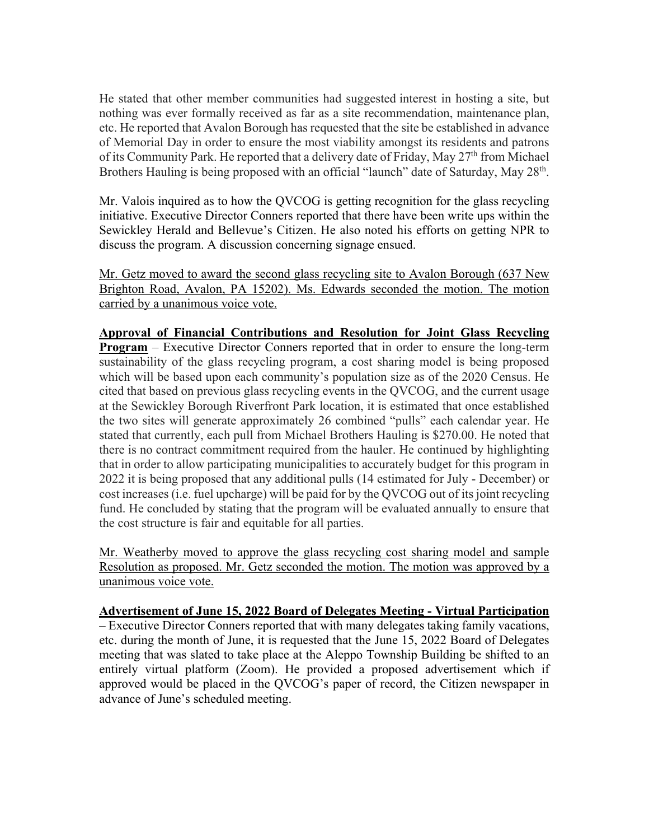He stated that other member communities had suggested interest in hosting a site, but nothing was ever formally received as far as a site recommendation, maintenance plan, etc. He reported that Avalon Borough has requested that the site be established in advance of Memorial Day in order to ensure the most viability amongst its residents and patrons of its Community Park. He reported that a delivery date of Friday, May 27<sup>th</sup> from Michael Brothers Hauling is being proposed with an official "launch" date of Saturday, May 28<sup>th</sup>.

Mr. Valois inquired as to how the QVCOG is getting recognition for the glass recycling initiative. Executive Director Conners reported that there have been write ups within the Sewickley Herald and Bellevue's Citizen. He also noted his efforts on getting NPR to discuss the program. A discussion concerning signage ensued.

Mr. Getz moved to award the second glass recycling site to Avalon Borough (637 New Brighton Road, Avalon, PA 15202). Ms. Edwards seconded the motion. The motion carried by a unanimous voice vote.

**Approval of Financial Contributions and Resolution for Joint Glass Recycling Program** – Executive Director Conners reported that in order to ensure the long-term sustainability of the glass recycling program, a cost sharing model is being proposed which will be based upon each community's population size as of the 2020 Census. He cited that based on previous glass recycling events in the QVCOG, and the current usage at the Sewickley Borough Riverfront Park location, it is estimated that once established the two sites will generate approximately 26 combined "pulls" each calendar year. He stated that currently, each pull from Michael Brothers Hauling is \$270.00. He noted that there is no contract commitment required from the hauler. He continued by highlighting that in order to allow participating municipalities to accurately budget for this program in 2022 it is being proposed that any additional pulls (14 estimated for July - December) or cost increases (i.e. fuel upcharge) will be paid for by the QVCOG out of its joint recycling fund. He concluded by stating that the program will be evaluated annually to ensure that the cost structure is fair and equitable for all parties.

Mr. Weatherby moved to approve the glass recycling cost sharing model and sample Resolution as proposed. Mr. Getz seconded the motion. The motion was approved by a unanimous voice vote.

**Advertisement of June 15, 2022 Board of Delegates Meeting - Virtual Participation** – Executive Director Conners reported that with many delegates taking family vacations, etc. during the month of June, it is requested that the June 15, 2022 Board of Delegates meeting that was slated to take place at the Aleppo Township Building be shifted to an entirely virtual platform (Zoom). He provided a proposed advertisement which if approved would be placed in the QVCOG's paper of record, the Citizen newspaper in advance of June's scheduled meeting.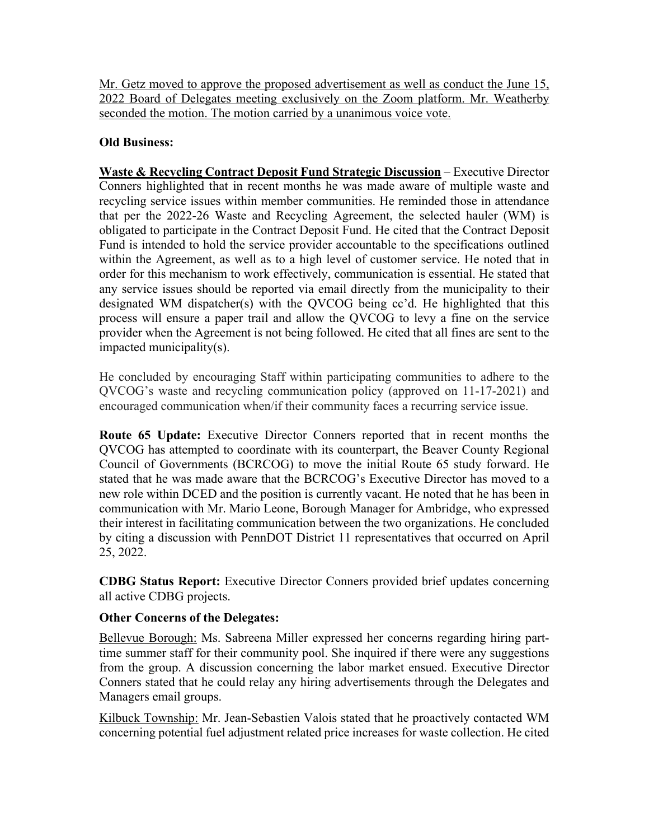Mr. Getz moved to approve the proposed advertisement as well as conduct the June 15, 2022 Board of Delegates meeting exclusively on the Zoom platform. Mr. Weatherby seconded the motion. The motion carried by a unanimous voice vote.

# **Old Business:**

**Waste & Recycling Contract Deposit Fund Strategic Discussion** – Executive Director Conners highlighted that in recent months he was made aware of multiple waste and recycling service issues within member communities. He reminded those in attendance that per the 2022-26 Waste and Recycling Agreement, the selected hauler (WM) is obligated to participate in the Contract Deposit Fund. He cited that the Contract Deposit Fund is intended to hold the service provider accountable to the specifications outlined within the Agreement, as well as to a high level of customer service. He noted that in order for this mechanism to work effectively, communication is essential. He stated that any service issues should be reported via email directly from the municipality to their designated WM dispatcher(s) with the QVCOG being cc'd. He highlighted that this process will ensure a paper trail and allow the QVCOG to levy a fine on the service provider when the Agreement is not being followed. He cited that all fines are sent to the impacted municipality(s).

He concluded by encouraging Staff within participating communities to adhere to the QVCOG's waste and recycling communication policy (approved on 11-17-2021) and encouraged communication when/if their community faces a recurring service issue.

**Route 65 Update:** Executive Director Conners reported that in recent months the QVCOG has attempted to coordinate with its counterpart, the Beaver County Regional Council of Governments (BCRCOG) to move the initial Route 65 study forward. He stated that he was made aware that the BCRCOG's Executive Director has moved to a new role within DCED and the position is currently vacant. He noted that he has been in communication with Mr. Mario Leone, Borough Manager for Ambridge, who expressed their interest in facilitating communication between the two organizations. He concluded by citing a discussion with PennDOT District 11 representatives that occurred on April 25, 2022.

**CDBG Status Report:** Executive Director Conners provided brief updates concerning all active CDBG projects.

# **Other Concerns of the Delegates:**

Bellevue Borough: Ms. Sabreena Miller expressed her concerns regarding hiring parttime summer staff for their community pool. She inquired if there were any suggestions from the group. A discussion concerning the labor market ensued. Executive Director Conners stated that he could relay any hiring advertisements through the Delegates and Managers email groups.

Kilbuck Township: Mr. Jean-Sebastien Valois stated that he proactively contacted WM concerning potential fuel adjustment related price increases for waste collection. He cited